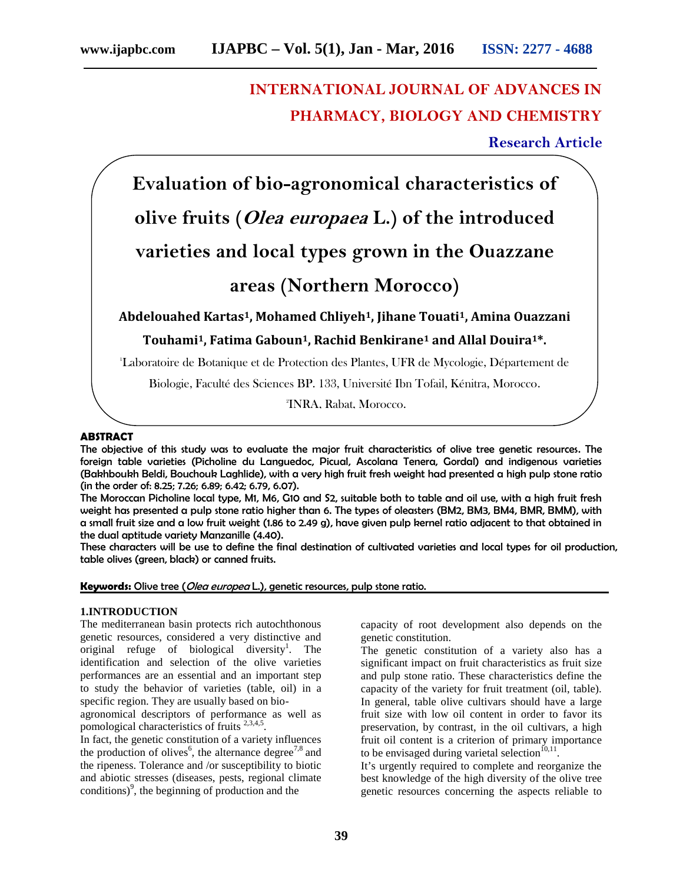# **INTERNATIONAL JOURNAL OF ADVANCES IN PHARMACY, BIOLOGY AND CHEMISTRY**

## **Research Article**

**Evaluation of bio-agronomical characteristics of olive fruits (***Olea europaea* **L.) of the introduced varieties and local types grown in the Ouazzane areas (Northern Morocco)**

**Abdelouahed Kartas1, Mohamed Chliyeh1, Jihane Touati1, Amina Ouazzani**

**Touhami1, Fatima Gaboun1, Rachid Benkirane<sup>1</sup> and Allal Douira1\*.**

<sup>1</sup>Laboratoire de Botanique et de Protection des Plantes, UFR de Mycologie, Département de

Biologie, Faculté des Sciences BP. 133, Université Ibn Tofail, Kénitra, Morocco.

2INRA, Rabat, Morocco.

### **ABSTRACT**

The objective of this study was to evaluate the major fruit characteristics of olive tree genetic resources. The foreign table varieties (Picholine du Languedoc, Picual, Ascolana Tenera, Gordal) and indigenous varieties (Bakhboukh Beldi, Bouchouk Laghlide), with a very high fruit fresh weight had presented a high pulp stone ratio (in the order of: 8.25; 7.26; 6.89; 6.42; 6.79, 6.07).

The Moroccan Picholine local type, M1, M6, G10 and S2, suitable both to table and oil use, with a high fruit fresh weight has presented a pulp stone ratio higher than 6. The types of oleasters (BM2, BM3, BM4, BMR, BMM), with a small fruit size and a low fruit weight (1.86 to 2.49 g), have given pulp kernel ratio adjacent to that obtained in the dual aptitude variety Manzanille (4.40).

These characters will be use to define the final destination of cultivated varieties and local types for oil production, table olives (green, black) or canned fruits.

**Keywords:** Olive tree (*Olea europea* L.), genetic resources, pulp stone ratio.

#### **1.INTRODUCTION**

The mediterranean basin protects rich autochthonous genetic resources, considered a very distinctive and original refuge of biological diversity<sup>1</sup>. The identification and selection of the olive varieties performances are an essential and an important step to study the behavior of varieties (table, oil) in a specific region. They are usually based on bio-

agronomical descriptors of performance as well as pomological characteristics of fruits<sup>2,3,4,5</sup>.

In fact, the genetic constitution of a variety influences the production of olives<sup>6</sup>, the alternance degree<sup>7,8</sup> and the ripeness. Tolerance and /or susceptibility to biotic and abiotic stresses (diseases, pests, regional climate conditions) 9 , the beginning of production and the

capacity of root development also depends on the genetic constitution.

The genetic constitution of a variety also has a significant impact on fruit characteristics as fruit size and pulp stone ratio. These characteristics define the capacity of the variety for fruit treatment (oil, table). In general, table olive cultivars should have a large fruit size with low oil content in order to favor its preservation, by contrast, in the oil cultivars, a high fruit oil content is a criterion of primary importance to be envisaged during varietal selection<sup> $10,11$ </sup>.

It's urgently required to complete and reorganize the best knowledge of the high diversity of the olive tree genetic resources concerning the aspects reliable to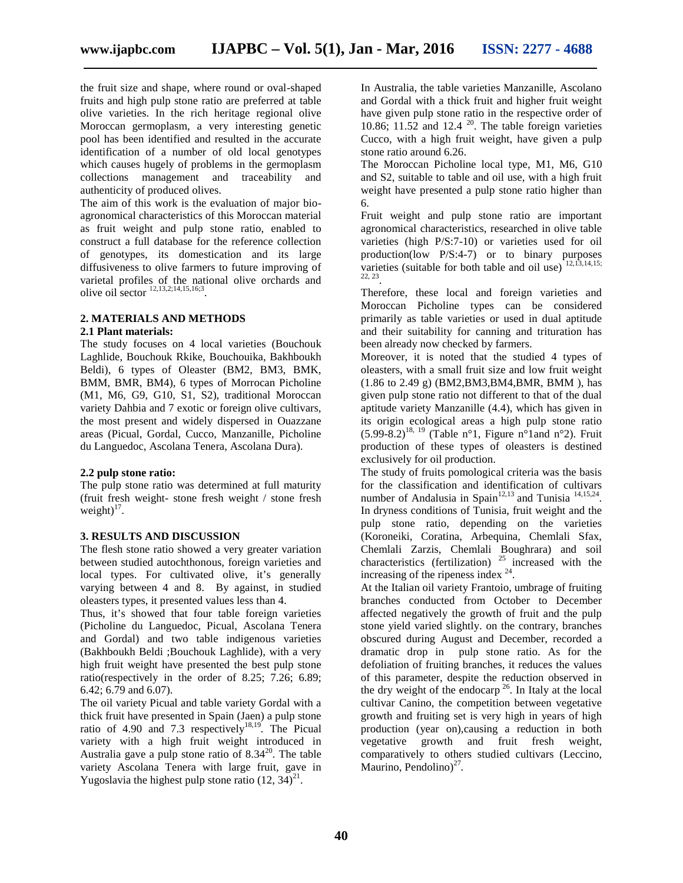the fruit size and shape, where round or oval-shaped fruits and high pulp stone ratio are preferred at table olive varieties. In the rich heritage regional olive Moroccan germoplasm, a very interesting genetic pool has been identified and resulted in the accurate identification of a number of old local genotypes which causes hugely of problems in the germoplasm collections management and traceability and authenticity of produced olives.

The aim of this work is the evaluation of major bio agronomical characteristics of this Moroccan material as fruit weight and pulp stone ratio, enabled to construct a full database for the reference collection of genotypes, its domestication and its large diffusiveness to olive farmers to future improving of varietal profiles of the national olive orchards and olive oil sector  $^{12,13,2;14,15,16;3}$ .

### **2. MATERIALS AND METHODS**

#### **2.1 Plant materials:**

The study focuses on 4 local varieties (Bouchouk Laghlide, Bouchouk Rkike, Bouchouika, Bakhboukh Beldi), 6 types of Oleaster (BM2, BM3, BMK, BMM, BMR, BM4), 6 types of Morrocan Picholine (M1, M6, G9, G10, S1, S2), traditional Moroccan variety Dahbia and 7 exotic or foreign olive cultivars, the most present and widely dispersed in Ouazzane areas (Picual, Gordal, Cucco, Manzanille, Picholine du Languedoc, Ascolana Tenera, Ascolana Dura).

#### **2.2 pulp stone ratio:**

The pulp stone ratio was determined at full maturity (fruit fresh weight- stone fresh weight / stone fresh weight) $17$ .

#### **3. RESULTS AND DISCUSSION**

The flesh stone ratio showed a very greater variation between studied autochthonous, foreign varieties and local types. For cultivated olive, it's generally varying between 4 and 8. By against, in studied oleasters types, it presented values less than 4.

Thus, it's showed that four table foreign varieties (Picholine du Languedoc, Picual, Ascolana Tenera and Gordal) and two table indigenous varieties (Bakhboukh Beldi ;Bouchouk Laghlide), with a very high fruit weight have presented the best pulp stone ratio(respectively in the order of 8.25; 7.26; 6.89; 6.42; 6.79 and 6.07).

The oil variety Picual and table variety Gordal with a thick fruit have presented in Spain (Jaen) a pulp stone ratio of 4.90 and 7.3 respectively<sup>18,19</sup>. The Picual variety with a high fruit weight introduced in Australia gave a pulp stone ratio of  $8.34^{20}$ . The table variety Ascolana Tenera with large fruit, gave in Yugoslavia the highest pulp stone ratio  $(12, 34)^{21}$ .

In Australia, the table varieties Manzanille, Ascolano and Gordal with a thick fruit and higher fruit weight have given pulp stone ratio in the respective order of 10.86; 11.52 and 12.4  $^{20}$ . The table foreign varieties Cucco, with a high fruit weight, have given a pulp stone ratio around 6.26.

The Moroccan Picholine local type, M1, M6, G10 and S2, suitable to table and oil use, with a high fruit weight have presented a pulp stone ratio higher than 6.

Fruit weight and pulp stone ratio are important agronomical characteristics, researched in olive table varieties (high P/S:7-10) or varieties used for oil production(low P/S:4-7) or to binary purposes varieties (suitable for both table and oil use)  $12,13,14,15$ ; 22, 23 .

Therefore, these local and foreign varieties and Moroccan Picholine types can be considered primarily as table varieties or used in dual aptitude and their suitability for canning and trituration has been already now checked by farmers.

Moreover, it is noted that the studied 4 types of oleasters, with a small fruit size and low fruit weight (1.86 to 2.49 g) (BM2,BM3,BM4,BMR, BMM ), has given pulp stone ratio not different to that of the dual aptitude variety Manzanille (4.4), which has given in its origin ecological areas a high pulp stone ratio  $(5.99-8.2)^{18,19}$  (Table n°1, Figure n°1and n°2). Fruit production of these types of oleasters is destined exclusively for oil production.

The study of fruits pomological criteria was the basis for the classification and identification of cultivars number of Andalusia in Spain<sup>12,13</sup> and Tunisia  $14,15,24$ . In dryness conditions of Tunisia, fruit weight and the pulp stone ratio, depending on the varieties (Koroneiki, Coratina, Arbequina, Chemlali Sfax, Chemlali Zarzis, Chemlali Boughrara) and soil characteristics (fertilization) <sup>25</sup> increased with the increasing of the ripeness index  $24$ .

At the Italian oil variety Frantoio, umbrage of fruiting branches conducted from October to December affected negatively the growth of fruit and the pulp stone yield varied slightly. on the contrary, branches obscured during August and December, recorded a dramatic drop in pulp stone ratio. As for the defoliation of fruiting branches, it reduces the values of this parameter, despite the reduction observed in the dry weight of the endocarp  $^{26}$ . In Italy at the local cultivar Canino, the competition between vegetative growth and fruiting set is very high in years of high production (year on),causing a reduction in both vegetative growth and fruit fresh weight, comparatively to others studied cultivars (Leccino, Maurino, Pendolino)<sup>27</sup>.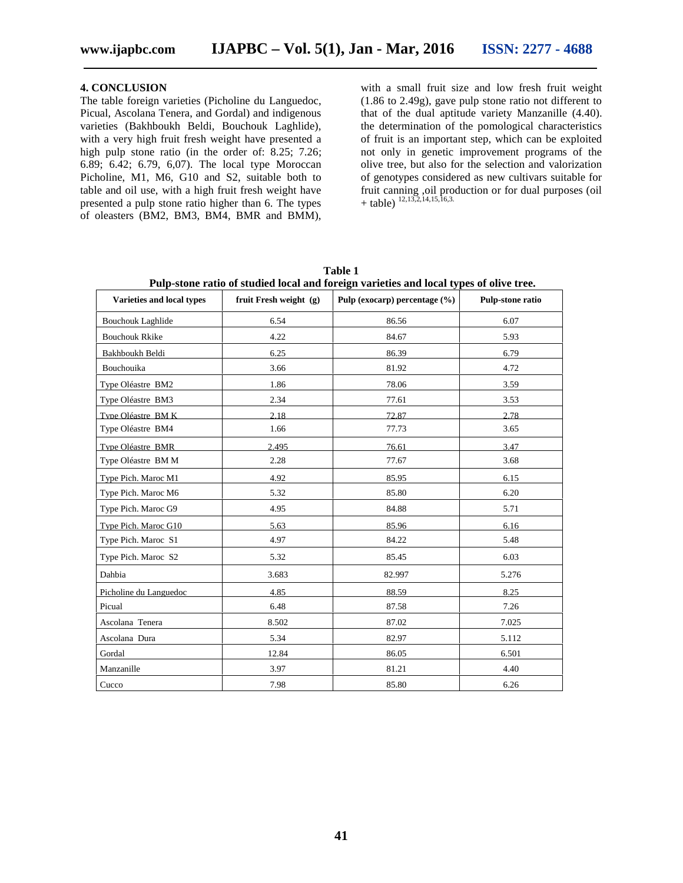**4. CONCLUSION** The table foreign varieties (Picholine du Languedoc, Picual, Ascolana Tenera, and Gordal) and indigenous varieties (Bakhboukh Beldi, Bouchouk Laghlide), with a very high fruit fresh weight have presented a high pulp stone ratio (in the order of: 8.25; 7.26; 6.89; 6.42; 6.79, 6,07). The local type Moroccan Picholine, M1, M6, G10 and S2, suitable both to table and oil use, with a high fruit fresh weight have presented a pulp stone ratio higher than 6. The types of oleasters (BM2, BM3, BM4, BMR and BMM),

with a small fruit size and low fresh fruit weight (1.86 to 2.49g), gave pulp stone ratio not different to that of the dual aptitude variety Manzanille (4.40). the determination of the pomological characteristics of fruit is an important step, which can be exploited not only in genetic improvement programs of the olive tree, but also for the selection and valorization of genotypes considered as new cultivars suitable for fruit canning ,oil production or for dual purposes (oil  $+$  table)<sup>12,13,2,14,15,16,3.</sup>

| Varieties and local types | fruit Fresh weight (g) | Pulp (exocarp) percentage $(\% )$ | Pulp-stone ratio |
|---------------------------|------------------------|-----------------------------------|------------------|
| <b>Bouchouk Laghlide</b>  | 6.54                   | 86.56                             | 6.07             |
| <b>Bouchouk Rkike</b>     | 4.22                   | 84.67                             | 5.93             |
| Bakhboukh Beldi           | 6.25                   | 86.39                             | 6.79             |
| Bouchouika                | 3.66                   | 81.92                             | 4.72             |
| Type Oléastre BM2         | 1.86                   | 78.06                             | 3.59             |
| Type Oléastre BM3         | 2.34                   | 77.61                             | 3.53             |
| Type Oléastre BMK         | 2.18                   | 72.87                             | 2.78             |
| Type Oléastre BM4         | 1.66                   | 77.73                             | 3.65             |
| Type Oléastre BMR         | 2.495                  | 76.61                             | 3.47             |
| Type Oléastre BMM         | 2.28                   | 77.67                             | 3.68             |
| Type Pich. Maroc M1       | 4.92                   | 85.95                             | 6.15             |
| Type Pich. Maroc M6       | 5.32                   | 85.80                             | 6.20             |
| Type Pich. Maroc G9       | 4.95                   | 84.88                             | 5.71             |
| Type Pich. Maroc G10      | 5.63                   | 85.96                             | 6.16             |
| Type Pich. Maroc S1       | 4.97                   | 84.22                             | 5.48             |
| Type Pich. Maroc S2       | 5.32                   | 85.45                             | 6.03             |
| Dahbia                    | 3.683                  | 82.997                            | 5.276            |
| Picholine du Languedoc    | 4.85                   | 88.59                             | 8.25             |
| Picual                    | 6.48                   | 87.58                             | 7.26             |
| Ascolana Tenera           | 8.502                  | 87.02                             | 7.025            |
| Ascolana Dura             | 5.34                   | 82.97                             | 5.112            |
| Gordal                    | 12.84                  | 86.05                             | 6.501            |
| Manzanille                | 3.97                   | 81.21                             | 4.40             |
| Cucco                     | 7.98                   | 85.80                             | 6.26             |

**Table 1 Pulp-stone ratio of studied local and foreign varieties and local types of olive tree.**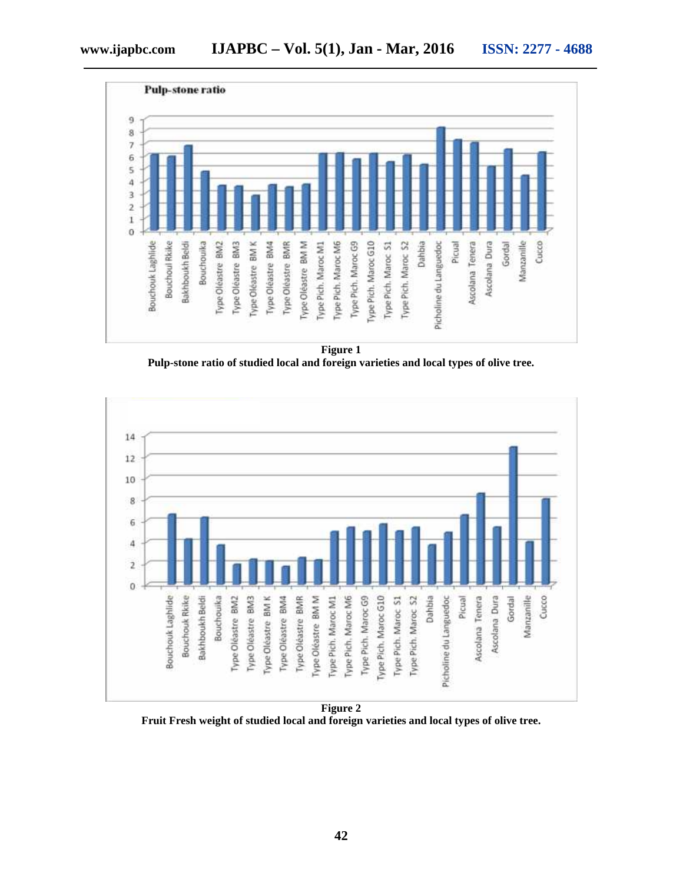

**Figure 1 Pulp-stone ratio of studied local and foreign varieties and local types of olive tree.**



**Figure 2 Fruit Fresh weight of studied local and foreign varieties and local types of olive tree.**